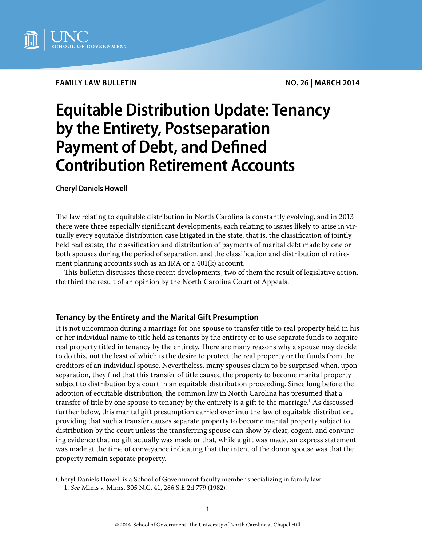

# **Family Law Bulletin no. 26 | march 2014**

# **Equitable Distribution Update: Tenancy by the Entirety, Postseparation Payment of Debt, and Defined Contribution Retirement Accounts**

**Cheryl Daniels Howell**

The law relating to equitable distribution in North Carolina is constantly evolving, and in 2013 there were three especially significant developments, each relating to issues likely to arise in virtually every equitable distribution case litigated in the state, that is, the classification of jointly held real estate, the classification and distribution of payments of marital debt made by one or both spouses during the period of separation, and the classification and distribution of retirement planning accounts such as an IRA or a 401(k) account.

This bulletin discusses these recent developments, two of them the result of legislative action, the third the result of an opinion by the North Carolina Court of Appeals.

# **Tenancy by the Entirety and the Marital Gift Presumption**

It is not uncommon during a marriage for one spouse to transfer title to real property held in his or her individual name to title held as tenants by the entirety or to use separate funds to acquire real property titled in tenancy by the entirety. There are many reasons why a spouse may decide to do this, not the least of which is the desire to protect the real property or the funds from the creditors of an individual spouse. Nevertheless, many spouses claim to be surprised when, upon separation, they find that this transfer of title caused the property to become marital property subject to distribution by a court in an equitable distribution proceeding. Since long before the adoption of equitable distribution, the common law in North Carolina has presumed that a transfer of title by one spouse to tenancy by the entirety is a gift to the marriage.<sup>1</sup> As discussed further below, this marital gift presumption carried over into the law of equitable distribution, providing that such a transfer causes separate property to become marital property subject to distribution by the court unless the transferring spouse can show by clear, cogent, and convincing evidence that no gift actually was made or that, while a gift was made, an express statement was made at the time of conveyance indicating that the intent of the donor spouse was that the property remain separate property.

Cheryl Daniels Howell is a School of Government faculty member specializing in family law. 1. *See* Mims v. Mims, 305 N.C. 41, 286 S.E.2d 779 (1982).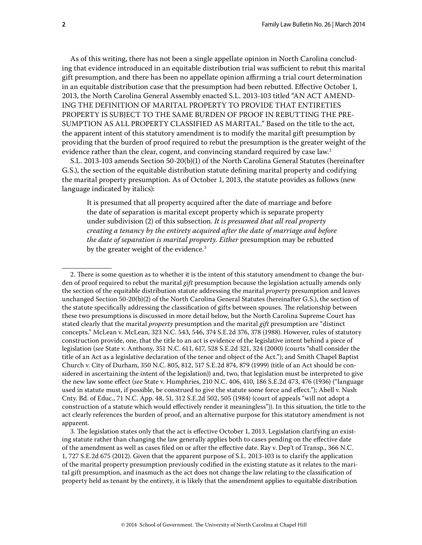As of this writing, there has not been a single appellate opinion in North Carolina concluding that evidence introduced in an equitable distribution trial was sufficient to rebut this marital gift presumption, and there has been no appellate opinion affirming a trial court determination in an equitable distribution case that the presumption had been rebutted. Effective October 1, 2013, the North Carolina General Assembly enacted S.L. 2013-103 titled "AN ACT AMEND-ING THE DEFINITION OF MARITAL PROPERTY TO PROVIDE THAT ENTIRETIES PROPERTY IS SUBJECT TO THE SAME BURDEN OF PROOF IN REBUTTING THE PRE-SUMPTION AS ALL PROPERTY CLASSIFIED AS MARITAL." Based on the title to the act, the apparent intent of this statutory amendment is to modify the marital gift presumption by providing that the burden of proof required to rebut the presumption is the greater weight of the evidence rather than the clear, cogent, and convincing standard required by case law.<sup>2</sup>

S.L. 2013-103 amends Section 50-20(b)(1) of the North Carolina General Statutes (hereinafter G.S.), the section of the equitable distribution statute defining marital property and codifying the marital property presumption. As of October 1, 2013, the statute provides as follows (new language indicated by italics):

It is presumed that all property acquired after the date of marriage and before the date of separation is marital except property which is separate property under subdivision (2) of this subsection. *It is presumed that all real property creating a tenancy by the entirety acquired after the date of marriage and before the date of separation is marital property. Either* presumption may be rebutted by the greater weight of the evidence.<sup>3</sup>

3. The legislation states only that the act is effective October 1, 2013. Legislation clarifying an existing statute rather than changing the law generally applies both to cases pending on the effective date of the amendment as well as cases filed on or after the effective date. Ray v. Dep't of Transp., 366 N.C. 1, 727 S.E.2d 675 (2012). Given that the apparent purpose of S.L. 2013-103 is to clarify the application of the marital property presumption previously codified in the existing statute as it relates to the marital gift presumption, and inasmuch as the act does not change the law relating to the classification of property held as tenant by the entirety, it is likely that the amendment applies to equitable distribution

<sup>2.</sup> There is some question as to whether it is the intent of this statutory amendment to change the burden of proof required to rebut the marital *gift* presumption because the legislation actually amends only the section of the equitable distribution statute addressing the marital *property* presumption and leaves unchanged Section 50-20(b)(2) of the North Carolina General Statutes (hereinafter G.S.), the section of the statute specifically addressing the classification of gifts between spouses. The relationship between these two presumptions is discussed in more detail below, but the North Carolina Supreme Court has stated clearly that the marital *property* presumption and the marital *gift* presumption are "distinct concepts." McLean v. McLean, 323 N.C. 543, 546, 374 S.E.2d 376, 378 (1988). However, rules of statutory construction provide, one, that the title to an act is evidence of the legislative intent behind a piece of legislation (*see* State v. Anthony, 351 N.C. 611, 617, 528 S.E.2d 321, 324 (2000) (courts "shall consider the title of an Act as a legislative declaration of the tenor and object of the Act."); and Smith Chapel Baptist Church v. City of Durham, 350 N.C. 805, 812, 517 S.E.2d 874, 879 (1999) (title of an Act should be considered in ascertaining the intent of the legislation)) and, two, that legislation must be interpreted to give the new law some effect (*see* State v. Humphries, 210 N.C. 406, 410, 186 S.E.2d 473, 476 (1936) ("language used in statute must, if possible, be construed to give the statute some force and effect."); Abell v. Nash Cnty. Bd. of Educ., 71 N.C. App. 48, 51, 312 S.E.2d 502, 505 (1984) (court of appeals "will not adopt a construction of a statute which would effectively render it meaningless")). In this situation, the title to the act clearly references the burden of proof, and an alternative purpose for this statutory amendment is not apparent.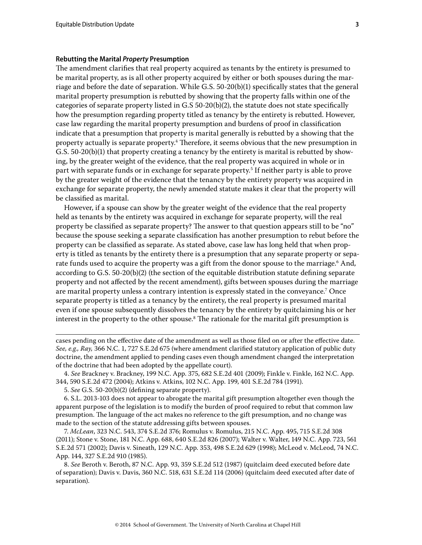### **Rebutting the Marital** *Property* **Presumption**

The amendment clarifies that real property acquired as tenants by the entirety is presumed to be marital property, as is all other property acquired by either or both spouses during the marriage and before the date of separation. While G.S. 50-20(b)(1) specifically states that the general marital property presumption is rebutted by showing that the property falls within one of the categories of separate property listed in G.S 50-20(b)(2), the statute does not state specifically how the presumption regarding property titled as tenancy by the entirety is rebutted. However, case law regarding the marital property presumption and burdens of proof in classification indicate that a presumption that property is marital generally is rebutted by a showing that the property actually is separate property.<sup>4</sup> Therefore, it seems obvious that the new presumption in G.S. 50-20(b)(1) that property creating a tenancy by the entirety is marital is rebutted by showing, by the greater weight of the evidence, that the real property was acquired in whole or in part with separate funds or in exchange for separate property.<sup>5</sup> If neither party is able to prove by the greater weight of the evidence that the tenancy by the entirety property was acquired in exchange for separate property, the newly amended statute makes it clear that the property will be classified as marital.

However, if a spouse can show by the greater weight of the evidence that the real property held as tenants by the entirety was acquired in exchange for separate property, will the real property be classified as separate property? The answer to that question appears still to be "no" because the spouse seeking a separate classification has another presumption to rebut before the property can be classified as separate. As stated above, case law has long held that when property is titled as tenants by the entirety there is a presumption that any separate property or separate funds used to acquire the property was a gift from the donor spouse to the marriage.<sup>6</sup> And, according to G.S. 50-20(b)(2) (the section of the equitable distribution statute defining separate property and not affected by the recent amendment), gifts between spouses during the marriage are marital property unless a contrary intention is expressly stated in the conveyance.7 Once separate property is titled as a tenancy by the entirety, the real property is presumed marital even if one spouse subsequently dissolves the tenancy by the entirety by quitclaiming his or her interest in the property to the other spouse. $^{\rm 8}$  The rationale for the marital gift presumption is

7. *McLean*, 323 N.C. 543, 374 S.E.2d 376; Romulus v. Romulus, 215 N.C. App. 495, 715 S.E.2d 308 (2011); Stone v. Stone, 181 N.C. App. 688, 640 S.E.2d 826 (2007); Walter v. Walter, 149 N.C. App. 723, 561 S.E.2d 571 (2002); Davis v. Sineath, 129 N.C. App. 353, 498 S.E.2d 629 (1998); McLeod v. McLeod, 74 N.C. App. 144, 327 S.E.2d 910 (1985).

8. *See* Beroth v. Beroth, 87 N.C. App. 93, 359 S.E.2d 512 (1987) (quitclaim deed executed before date of separation); Davis v. Davis, 360 N.C. 518, 631 S.E.2d 114 (2006) (quitclaim deed executed after date of separation).

cases pending on the effective date of the amendment as well as those filed on or after the effective date. *See, e.g., Ray,* 366 N.C. 1, 727 S.E.2d 675 (where amendment clarified statutory application of public duty doctrine, the amendment applied to pending cases even though amendment changed the interpretation of the doctrine that had been adopted by the appellate court).

<sup>4.</sup> *See* Brackney v. Brackney, 199 N.C. App. 375, 682 S.E.2d 401 (2009); Finkle v. Finkle, 162 N.C. App. 344, 590 S.E.2d 472 (2004); Atkins v. Atkins, 102 N.C. App. 199, 401 S.E.2d 784 (1991).

<sup>5.</sup> *See* G.S. 50-20(b)(2) (defining separate property).

<sup>6.</sup> S.L. 2013-103 does not appear to abrogate the marital gift presumption altogether even though the apparent purpose of the legislation is to modify the burden of proof required to rebut that common law presumption. The language of the act makes no reference to the gift presumption, and no change was made to the section of the statute addressing gifts between spouses.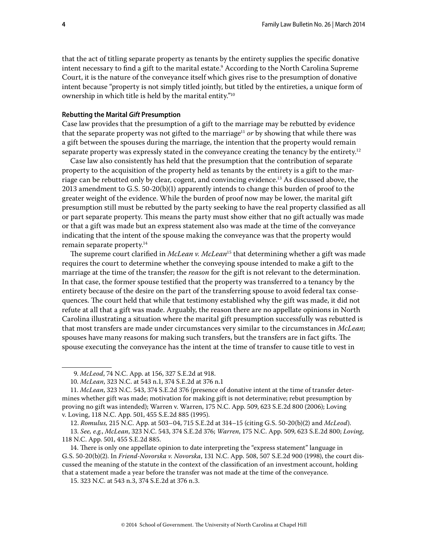that the act of titling separate property as tenants by the entirety supplies the specific donative intent necessary to find a gift to the marital estate.<sup>9</sup> According to the North Carolina Supreme Court, it is the nature of the conveyance itself which gives rise to the presumption of donative intent because "property is not simply titled jointly, but titled by the entireties, a unique form of ownership in which title is held by the marital entity."10

#### **Rebutting the Marital** *Gift* **Presumption**

Case law provides that the presumption of a gift to the marriage may be rebutted by evidence that the separate property was not gifted to the marriage<sup>11</sup> *or* by showing that while there was a gift between the spouses during the marriage, the intention that the property would remain separate property was expressly stated in the conveyance creating the tenancy by the entirety.<sup>12</sup>

Case law also consistently has held that the presumption that the contribution of separate property to the acquisition of the property held as tenants by the entirety is a gift to the marriage can be rebutted only by clear, cogent, and convincing evidence.13 As discussed above, the 2013 amendment to G.S. 50-20(b)(1) apparently intends to change this burden of proof to the greater weight of the evidence. While the burden of proof now may be lower, the marital gift presumption still must be rebutted by the party seeking to have the real property classified as all or part separate property. This means the party must show either that no gift actually was made or that a gift was made but an express statement also was made at the time of the conveyance indicating that the intent of the spouse making the conveyance was that the property would remain separate property.14

The supreme court clarified in *McLean v. McLean*15 that determining whether a gift was made requires the court to determine whether the conveying spouse intended to make a gift to the marriage at the time of the transfer; the *reason* for the gift is not relevant to the determination. In that case, the former spouse testified that the property was transferred to a tenancy by the entirety because of the desire on the part of the transferring spouse to avoid federal tax consequences. The court held that while that testimony established why the gift was made, it did not refute at all that a gift was made. Arguably, the reason there are no appellate opinions in North Carolina illustrating a situation where the marital gift presumption successfully was rebutted is that most transfers are made under circumstances very similar to the circumstances in *McLean*; spouses have many reasons for making such transfers, but the transfers are in fact gifts. The spouse executing the conveyance has the intent at the time of transfer to cause title to vest in

<sup>9.</sup> *McLeod*, 74 N.C. App. at 156, 327 S.E.2d at 918.

<sup>10.</sup> *McLean*, 323 N.C. at 543 n.1, 374 S.E.2d at 376 n.1

<sup>11.</sup> *McLean*, 323 N.C. 543, 374 S.E.2d 376 (presence of donative intent at the time of transfer determines whether gift was made; motivation for making gift is not determinative; rebut presumption by proving no gift was intended); Warren v. Warren, 175 N.C. App. 509, 623 S.E.2d 800 (2006); Loving v. Loving, 118 N.C. App. 501, 455 S.E.2d 885 (1995).

<sup>12.</sup> *Romulus,* 215 N.C. App. at 503–04, 715 S.E.2d at 314–15 (citing G.S. 50-20(b)(2) and *McLeod*).

<sup>13.</sup> *See, e.g.*, *McLean*, 323 N.C. 543, 374 S.E.2d 376; *Warren*, 175 N.C. App. 509, 623 S.E.2d 800; *Loving*, 118 N.C. App. 501, 455 S.E.2d 885.

<sup>14.</sup> There is only one appellate opinion to date interpreting the "express statement" language in G.S. 50-20(b)(2). In *Friend-Novorska v. Novorska*, 131 N.C. App. 508, 507 S.E.2d 900 (1998), the court discussed the meaning of the statute in the context of the classification of an investment account, holding that a statement made a year before the transfer was not made at the time of the conveyance.

<sup>15. 323</sup> N.C. at 543 n.3, 374 S.E.2d at 376 n.3.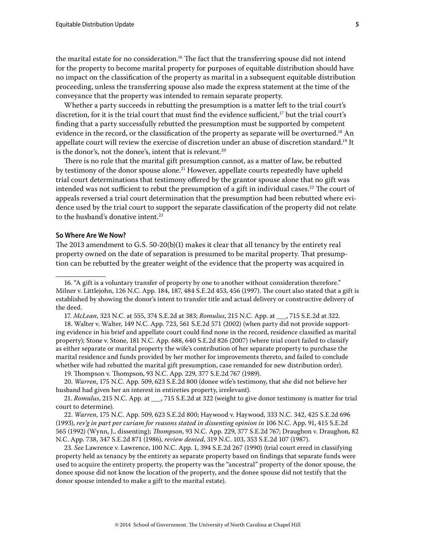the marital estate for no consideration.<sup>16</sup> The fact that the transferring spouse did not intend for the property to become marital property for purposes of equitable distribution should have no impact on the classification of the property as marital in a subsequent equitable distribution proceeding, unless the transferring spouse also made the express statement at the time of the conveyance that the property was intended to remain separate property.

Whether a party succeeds in rebutting the presumption is a matter left to the trial court's discretion, for it is the trial court that must find the evidence sufficient, $17$  but the trial court's finding that a party successfully rebutted the presumption must be supported by competent evidence in the record, or the classification of the property as separate will be overturned.<sup>18</sup> An appellate court will review the exercise of discretion under an abuse of discretion standard.19 It is the donor's, not the donee's, intent that is relevant.<sup>20</sup>

There is no rule that the marital gift presumption cannot, as a matter of law, be rebutted by testimony of the donor spouse alone.<sup>21</sup> However, appellate courts repeatedly have upheld trial court determinations that testimony offered by the grantor spouse alone that no gift was intended was not sufficient to rebut the presumption of a gift in individual cases.<sup>22</sup> The court of appeals reversed a trial court determination that the presumption had been rebutted where evidence used by the trial court to support the separate classification of the property did not relate to the husband's donative intent.<sup>23</sup>

#### **So Where Are We Now?**

The 2013 amendment to G.S. 50-20(b)(1) makes it clear that all tenancy by the entirety real property owned on the date of separation is presumed to be marital property. That presumption can be rebutted by the greater weight of the evidence that the property was acquired in

17. *McLean*, 323 N.C. at 555, 374 S.E.2d at 383; *Romulus*, 215 N.C. App. at \_\_\_, 715 S.E.2d at 322.

18. Walter v. Walter, 149 N.C. App. 723, 561 S.E.2d 571 (2002) (when party did not provide supporting evidence in his brief and appellate court could find none in the record, residence classified as marital property); Stone v. Stone, 181 N.C. App. 688, 640 S.E.2d 826 (2007) (where trial court failed to classify as either separate or marital property the wife's contribution of her separate property to purchase the marital residence and funds provided by her mother for improvements thereto, and failed to conclude whether wife had rebutted the marital gift presumption, case remanded for new distribution order).

19. Thompson v. Thompson, 93 N.C. App. 229, 377 S.E.2d 767 (1989).

20. *Warren*, 175 N.C. App. 509, 623 S.E.2d 800 (donee wife's testimony, that she did not believe her husband had given her an interest in entireties property, irrelevant).

21. *Romulus*, 215 N.C. App. at \_\_\_, 715 S.E.2d at 322 (weight to give donor testimony is matter for trial court to determine).

22. *Warren*, 175 N.C. App. 509, 623 S.E.2d 800; Haywood v. Haywood, 333 N.C. 342, 425 S.E.2d 696 (1993), *rev'g in part per curiam for reasons stated in dissenting opinion in* 106 N.C. App. 91, 415 S.E.2d 565 (1992) (Wynn, J., dissenting); *Thompson*, 93 N.C. App. 229, 377 S.E.2d 767; Draughon v. Draughon, 82 N.C. App. 738, 347 S.E.2d 871 (1986), *review denied*, 319 N.C. 103, 353 S.E.2d 107 (1987).

23. *See* Lawrence v. Lawrence, 100 N.C. App. 1, 394 S.E.2d 267 (1990) (trial court erred in classifying property held as tenancy by the entirety as separate property based on findings that separate funds were used to acquire the entirety property, the property was the "ancestral" property of the donor spouse, the donee spouse did not know the location of the property, and the donee spouse did not testify that the donor spouse intended to make a gift to the marital estate).

<sup>16. &</sup>quot;A gift is a voluntary transfer of property by one to another without consideration therefore." Milner v. Littlejohn, 126 N.C. App. 184, 187, 484 S.E.2d 453, 456 (1997). The court also stated that a gift is established by showing the donor's intent to transfer title and actual delivery or constructive delivery of the deed.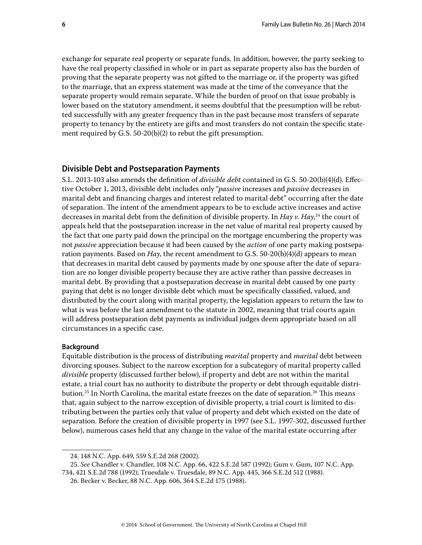exchange for separate real property or separate funds. In addition, however, the party seeking to have the real property classified in whole or in part as separate property also has the burden of proving that the separate property was not gifted to the marriage or, if the property was gifted to the marriage, that an express statement was made at the time of the conveyance that the separate property would remain separate. While the burden of proof on that issue probably is lower based on the statutory amendment, it seems doubtful that the presumption will be rebutted successfully with any greater frequency than in the past because most transfers of separate property to tenancy by the entirety are gifts and most transfers do not contain the specific statement required by G.S. 50-20(b)(2) to rebut the gift presumption.

## **Divisible Debt and Postseparation Payments**

S.L. 2013-103 also amends the definition of *divisible debt* contained in G.S. 50-20(b)(4)(d). Effective October 1, 2013, divisible debt includes only "*passive* increases and *passive* decreases in marital debt and financing charges and interest related to marital debt" occurring after the date of separation. The intent of the amendment appears to be to exclude active increases and active decreases in marital debt from the definition of divisible property. In *Hay v. Hay*, 24 the court of appeals held that the postseparation increase in the net value of marital real property caused by the fact that one party paid down the principal on the mortgage encumbering the property was not *passive* appreciation because it had been caused by the *action* of one party making postseparation payments. Based on *Hay*, the recent amendment to G.S. 50-20(b)(4)(d) appears to mean that decreases in marital debt caused by payments made by one spouse after the date of separation are no longer divisible property because they are active rather than passive decreases in marital debt. By providing that a postseparation decrease in marital debt caused by one party paying that debt is no longer divisible debt which must be specifically classified, valued, and distributed by the court along with marital property, the legislation appears to return the law to what is was before the last amendment to the statute in 2002, meaning that trial courts again will address postseparation debt payments as individual judges deem appropriate based on all circumstances in a specific case.

#### **Background**

Equitable distribution is the process of distributing *marital* property and *marital* debt between divorcing spouses. Subject to the narrow exception for a subcategory of marital property called *divisible* property (discussed further below), if property and debt are not within the marital estate, a trial court has no authority to distribute the property or debt through equitable distribution.<sup>25</sup> In North Carolina, the marital estate freezes on the date of separation.<sup>26</sup> This means that, again subject to the narrow exception of divisible property, a trial court is limited to distributing between the parties only that value of property and debt which existed on the date of separation. Before the creation of divisible property in 1997 (see S.L. 1997-302, discussed further below), numerous cases held that any change in the value of the marital estate occurring after

25. *See* Chandler v. Chandler, 108 N.C. App. 66, 422 S.E.2d 587 (1992); Gum v. Gum, 107 N.C. App. 734, 421 S.E.2d 788 (1992); Truesdale v. Truesdale, 89 N.C. App. 445, 366 S.E.2d 512 (1988).

<sup>24. 148</sup> N.C. App. 649, 559 S.E.2d 268 (2002).

<sup>26.</sup> Becker v. Becker, 88 N.C. App. 606, 364 S.E.2d 175 (1988).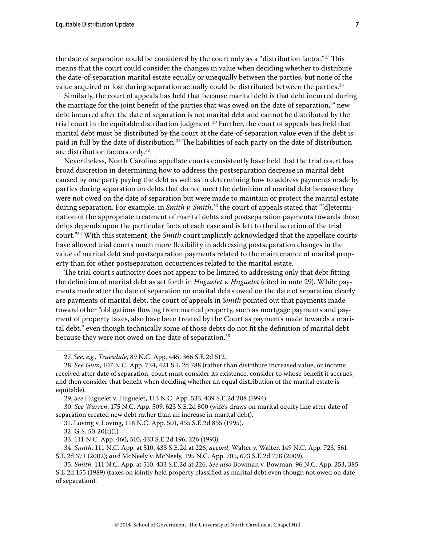the date of separation could be considered by the court only as a "distribution factor."<sup>27</sup> This means that the court could consider the changes in value when deciding whether to distribute the date-of-separation marital estate equally or unequally between the parties, but none of the value acquired or lost during separation actually could be distributed between the parties.<sup>28</sup>

Similarly, the court of appeals has held that because marital debt is that debt incurred during the marriage for the joint benefit of the parties that was owed on the date of separation, $29$  new debt incurred after the date of separation is not marital debt and cannot be distributed by the trial court in the equitable distribution judgment.<sup>30</sup> Further, the court of appeals has held that marital debt must be distributed by the court at the date-of-separation value even if the debt is paid in full by the date of distribution.<sup>31</sup> The liabilities of each party on the date of distribution are distribution factors only.32

Nevertheless, North Carolina appellate courts consistently have held that the trial court has broad discretion in determining how to address the postseparation decrease in marital debt caused by one party paying the debt as well as in determining how to address payments made by parties during separation on debts that do not meet the definition of marital debt because they were not owed on the date of separation but were made to maintain or protect the marital estate during separation. For example, in *Smith v. Smith*, 33 the court of appeals stated that "[d]etermination of the appropriate treatment of marital debts and postseparation payments towards those debts depends upon the particular facts of each case and is left to the discretion of the trial court."34 With this statement, the *Smith* court implicitly acknowledged that the appellate courts have allowed trial courts much more flexibility in addressing postseparation changes in the value of marital debt and postseparation payments related to the maintenance of marital property than for other postseparation occurrences related to the marital estate.

The trial court's authority does not appear to be limited to addressing only that debt fitting the definition of marital debt as set forth in *Huguelet v. Huguelet* (cited in note 29). While payments made after the date of separation on marital debts owed on the date of separation clearly are payments of marital debt, the court of appeals in *Smith* pointed out that payments made toward other "obligations flowing from marital property, such as mortgage payments and payment of property taxes, also have been treated by the Court as payments made towards a marital debt," even though technically some of those debts do not fit the definition of marital debt because they were not owed on the date of separation.<sup>35</sup>

27. *See, e.g., Truesdale*, 89 N.C. App. 445, 366 S.E.2d 512.

31. Loving v. Loving, 118 N.C. App. 501, 455 S.E.2d 855 (1995).

32. G.S. 50-20(c)(1).

<sup>28.</sup> *See Gum*, 107 N.C. App. 734, 421 S.E.2d 788 (rather than distribute increased value, or income received after date of separation, court must consider its existence, consider to whose benefit it accrues, and then consider that benefit when deciding whether an equal distribution of the marital estate is equitable).

<sup>29.</sup> *See* Huguelet v. Huguelet, 113 N.C. App. 533, 439 S.E.2d 208 (1994).

<sup>30.</sup> *See Warren*, 175 N.C. App. 509, 623 S.E.2d 800 (wife's draws on marital equity line after date of separation created new debt rather than an increase in marital debt).

<sup>33. 111</sup> N.C. App. 460, 510, 433 S.E.2d 196, 226 (1993).

<sup>34.</sup> *Smith*, 111 N.C. App. at 510, 433 S.E.2d at 226, *accord,* Walter v. Walter, 149 N.C. App. 723, 561 S.E.2d 571 (2002); *and* McNeely v. McNeely, 195 N.C. App. 705, 673 S.E.2d 778 (2009).

<sup>35.</sup> *Smith*, 111 N.C. App. at 510, 433 S.E.2d at 226. *See also* Bowman v. Bowman, 96 N.C. App. 253, 385 S.E.2d 155 (1989) (taxes on jointly held property classified as marital debt even though not owed on date of separation).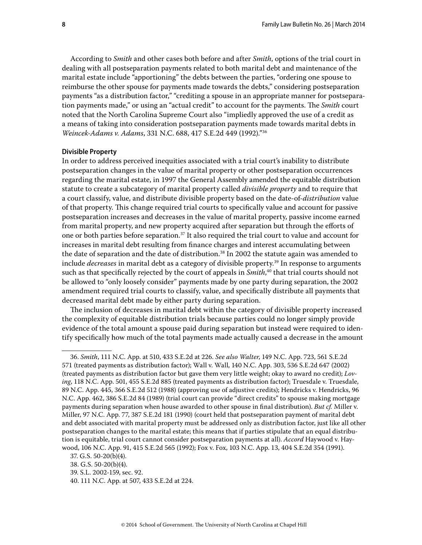According to *Smith* and other cases both before and after *Smith*, options of the trial court in dealing with all postseparation payments related to both marital debt and maintenance of the marital estate include "apportioning" the debts between the parties, "ordering one spouse to reimburse the other spouse for payments made towards the debts," considering postseparation payments "as a distribution factor," "crediting a spouse in an appropriate manner for postseparation payments made," or using an "actual credit" to account for the payments. The *Smith* court noted that the North Carolina Supreme Court also "impliedly approved the use of a credit as a means of taking into consideration postseparation payments made towards marital debts in *Weincek-Adams v. Adams*, 331 N.C. 688, 417 S.E.2d 449 (1992)."36

#### **Divisible Property**

In order to address perceived inequities associated with a trial court's inability to distribute postseparation changes in the value of marital property or other postseparation occurrences regarding the marital estate, in 1997 the General Assembly amended the equitable distribution statute to create a subcategory of marital property called *divisible property* and to require that a court classify, value, and distribute divisible property based on the date-of-*distribution* value of that property. This change required trial courts to specifically value and account for passive postseparation increases and decreases in the value of marital property, passive income earned from marital property, and new property acquired after separation but through the efforts of one or both parties before separation.37 It also required the trial court to value and account for increases in marital debt resulting from finance charges and interest accumulating between the date of separation and the date of distribution.<sup>38</sup> In 2002 the statute again was amended to include *decreases* in marital debt as a category of divisible property.39 In response to arguments such as that specifically rejected by the court of appeals in *Smith*, 40 that trial courts should not be allowed to "only loosely consider" payments made by one party during separation, the 2002 amendment required trial courts to classify, value, and specifically distribute all payments that decreased marital debt made by either party during separation.

The inclusion of decreases in marital debt within the category of divisible property increased the complexity of equitable distribution trials because parties could no longer simply provide evidence of the total amount a spouse paid during separation but instead were required to identify specifically how much of the total payments made actually caused a decrease in the amount

<sup>36.</sup> *Smith*, 111 N.C. App. at 510, 433 S.E.2d at 226. *See also Walter*, 149 N.C. App. 723, 561 S.E.2d 571 (treated payments as distribution factor); Wall v. Wall, 140 N.C. App. 303, 536 S.E.2d 647 (2002) (treated payments as distribution factor but gave them very little weight; okay to award no credit); *Loving*, 118 N.C. App. 501, 455 S.E.2d 885 (treated payments as distribution factor); Truesdale v. Truesdale, 89 N.C. App. 445, 366 S.E.2d 512 (1988) (approving use of adjustive credits); Hendricks v. Hendricks, 96 N.C. App. 462, 386 S.E.2d 84 (1989) (trial court can provide "direct credits" to spouse making mortgage payments during separation when house awarded to other spouse in final distribution). *But cf.* Miller v. Miller, 97 N.C. App. 77, 387 S.E.2d 181 (1990) (court held that postseparation payment of marital debt and debt associated with marital property must be addressed only as distribution factor, just like all other postseparation changes to the marital estate; this means that if parties stipulate that an equal distribution is equitable, trial court cannot consider postseparation payments at all). *Accord* Haywood v. Haywood, 106 N.C. App. 91, 415 S.E.2d 565 (1992); Fox v. Fox, 103 N.C. App. 13, 404 S.E.2d 354 (1991).

<sup>37.</sup> G.S. 50-20(b)(4).

<sup>38.</sup> G.S. 50-20(b)(4).

<sup>39.</sup> S.L. 2002-159, sec. 92.

<sup>40. 111</sup> N.C. App. at 507, 433 S.E.2d at 224.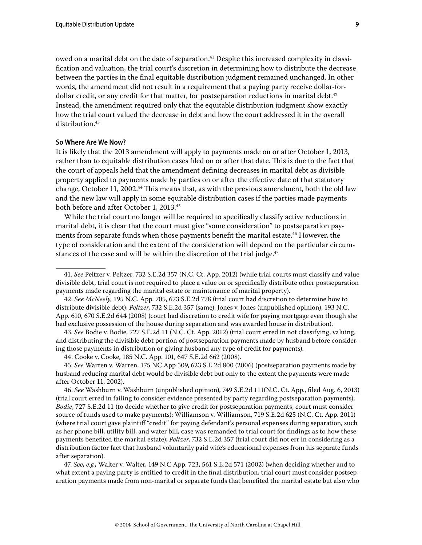owed on a marital debt on the date of separation.<sup>41</sup> Despite this increased complexity in classification and valuation, the trial court's discretion in determining how to distribute the decrease between the parties in the final equitable distribution judgment remained unchanged. In other words, the amendment did not result in a requirement that a paying party receive dollar-fordollar credit, or any credit for that matter, for postseparation reductions in marital debt.<sup>42</sup> Instead, the amendment required only that the equitable distribution judgment show exactly how the trial court valued the decrease in debt and how the court addressed it in the overall distribution.<sup>43</sup>

#### **So Where Are We Now?**

It is likely that the 2013 amendment will apply to payments made on or after October 1, 2013, rather than to equitable distribution cases filed on or after that date. This is due to the fact that the court of appeals held that the amendment defining decreases in marital debt as divisible property applied to payments made by parties on or after the effective date of that statutory change, October 11, 2002.44 This means that, as with the previous amendment, both the old law and the new law will apply in some equitable distribution cases if the parties made payments both before and after October 1, 2013.45

While the trial court no longer will be required to specifically classify active reductions in marital debt, it is clear that the court must give "some consideration" to postseparation payments from separate funds when those payments benefit the marital estate.<sup>46</sup> However, the type of consideration and the extent of the consideration will depend on the particular circumstances of the case and will be within the discretion of the trial judge.<sup>47</sup>

43. *See* Bodie v. Bodie, 727 S.E.2d 11 (N.C. Ct. App. 2012) (trial court erred in not classifying, valuing, and distributing the divisible debt portion of postseparation payments made by husband before considering those payments in distribution or giving husband any type of credit for payments).

46. *See* Washburn v. Washburn (unpublished opinion), 749 S.E.2d 111(N.C. Ct. App., filed Aug. 6, 2013) (trial court erred in failing to consider evidence presented by party regarding postseparation payments); *Bodie*, 727 S.E.2d 11 (to decide whether to give credit for postseparation payments, court must consider source of funds used to make payments); Williamson v. Williamson, 719 S.E.2d 625 (N.C. Ct. App. 2011) (where trial court gave plaintiff "credit" for paying defendant's personal expenses during separation, such as her phone bill, utility bill, and water bill, case was remanded to trial court for findings as to how these payments benefited the marital estate); *Peltzer*, 732 S.E.2d 357 (trial court did not err in considering as a distribution factor fact that husband voluntarily paid wife's educational expenses from his separate funds after separation).

47. *See, e.g.,* Walter v. Walter, 149 N.C App. 723, 561 S.E.2d 571 (2002) (when deciding whether and to what extent a paying party is entitled to credit in the final distribution, trial court must consider postseparation payments made from non-marital or separate funds that benefited the marital estate but also who

<sup>41.</sup> *See* Peltzer v. Peltzer, 732 S.E.2d 357 (N.C. Ct. App. 2012) (while trial courts must classify and value divisible debt, trial court is not required to place a value on or specifically distribute other postseparation payments made regarding the marital estate or maintenance of marital property).

<sup>42.</sup> *See McNeely*, 195 N.C. App. 705, 673 S.E.2d 778 (trial court had discretion to determine how to distribute divisible debt); *Peltzer*, 732 S.E.2d 357 (same); Jones v. Jones (unpublished opinion), 193 N.C. App. 610, 670 S.E.2d 644 (2008) (court had discretion to credit wife for paying mortgage even though she had exclusive possession of the house during separation and was awarded house in distribution).

<sup>44.</sup> Cooke v. Cooke, 185 N.C. App. 101, 647 S.E.2d 662 (2008).

<sup>45.</sup> *See* Warren v. Warren, 175 NC App 509, 623 S.E.2d 800 (2006) (postseparation payments made by husband reducing marital debt would be divisible debt but only to the extent the payments were made after October 11, 2002).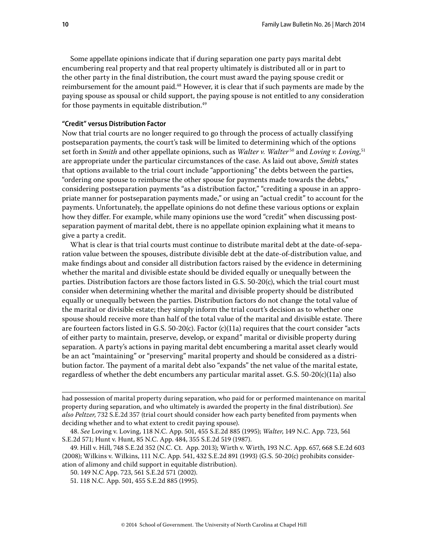Some appellate opinions indicate that if during separation one party pays marital debt encumbering real property and that real property ultimately is distributed all or in part to the other party in the final distribution, the court must award the paying spouse credit or reimbursement for the amount paid.<sup>48</sup> However, it is clear that if such payments are made by the paying spouse as spousal or child support, the paying spouse is not entitled to any consideration for those payments in equitable distribution.<sup>49</sup>

#### **"Credit" versus Distribution Factor**

Now that trial courts are no longer required to go through the process of actually classifying postseparation payments, the court's task will be limited to determining which of the options set forth in *Smith* and other appellate opinions, such as *Walter v. Walter* 50 and *Loving v. Loving*, 51 are appropriate under the particular circumstances of the case. As laid out above, *Smith* states that options available to the trial court include "apportioning" the debts between the parties, "ordering one spouse to reimburse the other spouse for payments made towards the debts," considering postseparation payments "as a distribution factor," "crediting a spouse in an appropriate manner for postseparation payments made," or using an "actual credit" to account for the payments. Unfortunately, the appellate opinions do not define these various options or explain how they differ. For example, while many opinions use the word "credit" when discussing postseparation payment of marital debt, there is no appellate opinion explaining what it means to give a party a credit.

What is clear is that trial courts must continue to distribute marital debt at the date-of-separation value between the spouses, distribute divisible debt at the date-of-distribution value, and make findings about and consider all distribution factors raised by the evidence in determining whether the marital and divisible estate should be divided equally or unequally between the parties. Distribution factors are those factors listed in G.S. 50-20(c), which the trial court must consider when determining whether the marital and divisible property should be distributed equally or unequally between the parties. Distribution factors do not change the total value of the marital or divisible estate; they simply inform the trial court's decision as to whether one spouse should receive more than half of the total value of the marital and divisible estate. There are fourteen factors listed in G.S. 50-20(c). Factor (c)(11a) requires that the court consider "acts of either party to maintain, preserve, develop, or expand" marital or divisible property during separation. A party's actions in paying marital debt encumbering a marital asset clearly would be an act "maintaining" or "preserving" marital property and should be considered as a distribution factor. The payment of a marital debt also "expands" the net value of the marital estate, regardless of whether the debt encumbers any particular marital asset. G.S. 50-20(c)(11a) also

had possession of marital property during separation, who paid for or performed maintenance on marital property during separation, and who ultimately is awarded the property in the final distribution). *See also Peltzer*, 732 S.E.2d 357 (trial court should consider how each party benefited from payments when deciding whether and to what extent to credit paying spouse).

<sup>48.</sup> *See* Loving v. Loving, 118 N.C. App. 501, 455 S.E.2d 885 (1995); *Walter*, 149 N.C. App. 723, 561 S.E.2d 571; Hunt v. Hunt, 85 N.C. App. 484, 355 S.E.2d 519 (1987).

<sup>49.</sup> Hill v. Hill, 748 S.E.2d 352 (N.C. Ct. App. 2013); Wirth v. Wirth, 193 N.C. App. 657, 668 S.E.2d 603 (2008); Wilkins v. Wilkins, 111 N.C. App. 541, 432 S.E.2d 891 (1993) (G.S. 50-20(c) prohibits consideration of alimony and child support in equitable distribution).

<sup>50. 149</sup> N.C App. 723, 561 S.E.2d 571 (2002).

<sup>51. 118</sup> N.C. App. 501, 455 S.E.2d 885 (1995).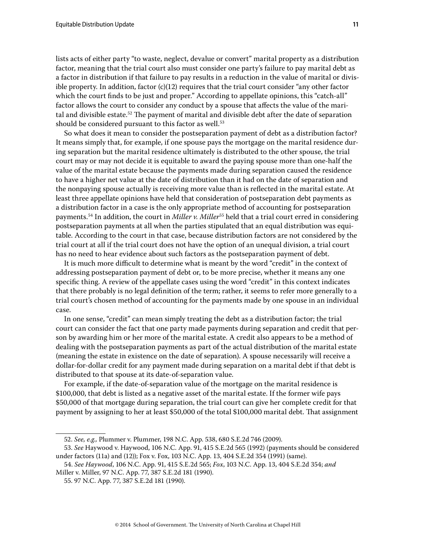lists acts of either party "to waste, neglect, devalue or convert" marital property as a distribution factor, meaning that the trial court also must consider one party's failure to pay marital debt as a factor in distribution if that failure to pay results in a reduction in the value of marital or divisible property. In addition, factor  $(c)(12)$  requires that the trial court consider "any other factor" which the court finds to be just and proper." According to appellate opinions, this "catch-all" factor allows the court to consider any conduct by a spouse that affects the value of the marital and divisible estate.<sup>52</sup> The payment of marital and divisible debt after the date of separation should be considered pursuant to this factor as well.<sup>53</sup>

So what does it mean to consider the postseparation payment of debt as a distribution factor? It means simply that, for example, if one spouse pays the mortgage on the marital residence during separation but the marital residence ultimately is distributed to the other spouse, the trial court may or may not decide it is equitable to award the paying spouse more than one-half the value of the marital estate because the payments made during separation caused the residence to have a higher net value at the date of distribution than it had on the date of separation and the nonpaying spouse actually is receiving more value than is reflected in the marital estate. At least three appellate opinions have held that consideration of postseparation debt payments as a distribution factor in a case is the only appropriate method of accounting for postseparation payments.<sup>54</sup> In addition, the court in *Miller v. Miller*<sup>55</sup> held that a trial court erred in considering postseparation payments at all when the parties stipulated that an equal distribution was equitable. According to the court in that case, because distribution factors are not considered by the trial court at all if the trial court does not have the option of an unequal division, a trial court has no need to hear evidence about such factors as the postseparation payment of debt.

It is much more difficult to determine what is meant by the word "credit" in the context of addressing postseparation payment of debt or, to be more precise, whether it means any one specific thing. A review of the appellate cases using the word "credit" in this context indicates that there probably is no legal definition of the term; rather, it seems to refer more generally to a trial court's chosen method of accounting for the payments made by one spouse in an individual case.

In one sense, "credit" can mean simply treating the debt as a distribution factor; the trial court can consider the fact that one party made payments during separation and credit that person by awarding him or her more of the marital estate. A credit also appears to be a method of dealing with the postseparation payments as part of the actual distribution of the marital estate (meaning the estate in existence on the date of separation). A spouse necessarily will receive a dollar-for-dollar credit for any payment made during separation on a marital debt if that debt is distributed to that spouse at its date-of-separation value.

For example, if the date-of-separation value of the mortgage on the marital residence is \$100,000, that debt is listed as a negative asset of the marital estate. If the former wife pays \$50,000 of that mortgage during separation, the trial court can give her complete credit for that payment by assigning to her at least \$50,000 of the total \$100,000 marital debt. That assignment

<sup>52.</sup> *See, e.g.,* Plummer v. Plummer, 198 N.C. App. 538, 680 S.E.2d 746 (2009).

<sup>53.</sup> *See* Haywood v. Haywood, 106 N.C. App. 91, 415 S.E.2d 565 (1992) (payments should be considered under factors (11a) and (12)); Fox v. Fox, 103 N.C. App. 13, 404 S.E.2d 354 (1991) (same).

<sup>54.</sup> *See Haywood*, 106 N.C. App. 91, 415 S.E.2d 565; *Fox*, 103 N.C. App. 13, 404 S.E.2d 354; *and*  Miller v. Miller, 97 N.C. App. 77, 387 S.E.2d 181 (1990).

<sup>55. 97</sup> N.C. App. 77, 387 S.E.2d 181 (1990).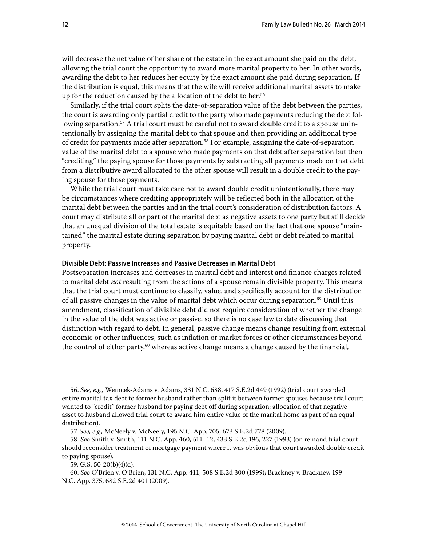will decrease the net value of her share of the estate in the exact amount she paid on the debt, allowing the trial court the opportunity to award more marital property to her. In other words, awarding the debt to her reduces her equity by the exact amount she paid during separation. If the distribution is equal, this means that the wife will receive additional marital assets to make up for the reduction caused by the allocation of the debt to her.<sup>56</sup>

Similarly, if the trial court splits the date-of-separation value of the debt between the parties, the court is awarding only partial credit to the party who made payments reducing the debt following separation.<sup>57</sup> A trial court must be careful not to award double credit to a spouse unintentionally by assigning the marital debt to that spouse and then providing an additional type of credit for payments made after separation.<sup>58</sup> For example, assigning the date-of-separation value of the marital debt to a spouse who made payments on that debt after separation but then "crediting" the paying spouse for those payments by subtracting all payments made on that debt from a distributive award allocated to the other spouse will result in a double credit to the paying spouse for those payments.

While the trial court must take care not to award double credit unintentionally, there may be circumstances where crediting appropriately will be reflected both in the allocation of the marital debt between the parties and in the trial court's consideration of distribution factors. A court may distribute all or part of the marital debt as negative assets to one party but still decide that an unequal division of the total estate is equitable based on the fact that one spouse "maintained" the marital estate during separation by paying marital debt or debt related to marital property.

#### **Divisible Debt: Passive Increases and Passive Decreases in Marital Debt**

Postseparation increases and decreases in marital debt and interest and finance charges related to marital debt *not* resulting from the actions of a spouse remain divisible property. This means that the trial court must continue to classify, value, and specifically account for the distribution of all passive changes in the value of marital debt which occur during separation.59 Until this amendment, classification of divisible debt did not require consideration of whether the change in the value of the debt was active or passive, so there is no case law to date discussing that distinction with regard to debt. In general, passive change means change resulting from external economic or other influences, such as inflation or market forces or other circumstances beyond the control of either party,<sup>60</sup> whereas active change means a change caused by the financial,

<sup>56.</sup> *See, e.g.,* Weincek-Adams v. Adams, 331 N.C. 688, 417 S.E.2d 449 (1992) (trial court awarded entire marital tax debt to former husband rather than split it between former spouses because trial court wanted to "credit" former husband for paying debt off during separation; allocation of that negative asset to husband allowed trial court to award him entire value of the marital home as part of an equal distribution).

<sup>57.</sup> *See, e.g.,* McNeely v. McNeely, 195 N.C. App. 705, 673 S.E.2d 778 (2009).

<sup>58.</sup> *See* Smith v. Smith, 111 N.C. App. 460, 511–12, 433 S.E.2d 196, 227 (1993) (on remand trial court should reconsider treatment of mortgage payment where it was obvious that court awarded double credit to paying spouse).

<sup>59.</sup> G.S. 50-20(b)(4)(d).

<sup>60.</sup> *See* O'Brien v. O'Brien, 131 N.C. App. 411, 508 S.E.2d 300 (1999); Brackney v. Brackney, 199 N.C. App. 375, 682 S.E.2d 401 (2009).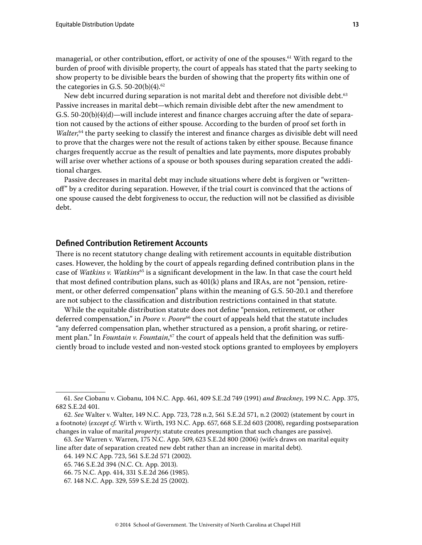managerial, or other contribution, effort, or activity of one of the spouses.<sup>61</sup> With regard to the burden of proof with divisible property, the court of appeals has stated that the party seeking to show property to be divisible bears the burden of showing that the property fits within one of the categories in G.S. 50-20(b)(4). $62$ 

New debt incurred during separation is not marital debt and therefore not divisible debt.<sup>63</sup> Passive increases in marital debt—which remain divisible debt after the new amendment to G.S. 50-20(b)(4)(d)—will include interest and finance charges accruing after the date of separation not caused by the actions of either spouse. According to the burden of proof set forth in Walter,<sup>64</sup> the party seeking to classify the interest and finance charges as divisible debt will need to prove that the charges were not the result of actions taken by either spouse. Because finance charges frequently accrue as the result of penalties and late payments, more disputes probably will arise over whether actions of a spouse or both spouses during separation created the additional charges.

Passive decreases in marital debt may include situations where debt is forgiven or "writtenoff" by a creditor during separation. However, if the trial court is convinced that the actions of one spouse caused the debt forgiveness to occur, the reduction will not be classified as divisible debt.

## **Defined Contribution Retirement Accounts**

There is no recent statutory change dealing with retirement accounts in equitable distribution cases. However, the holding by the court of appeals regarding defined contribution plans in the case of *Watkins v. Watkins*65 is a significant development in the law. In that case the court held that most defined contribution plans, such as 401(k) plans and IRAs, are not "pension, retirement, or other deferred compensation" plans within the meaning of G.S. 50-20.1 and therefore are not subject to the classification and distribution restrictions contained in that statute.

While the equitable distribution statute does not define "pension, retirement, or other deferred compensation," in *Poore v. Poore*<sup>66</sup> the court of appeals held that the statute includes "any deferred compensation plan, whether structured as a pension, a profit sharing, or retirement plan." In *Fountain v. Fountain*, 67 the court of appeals held that the definition was sufficiently broad to include vested and non-vested stock options granted to employees by employers

<sup>61.</sup> *See* Ciobanu v. Ciobanu, 104 N.C. App. 461, 409 S.E.2d 749 (1991) *and Brackney*, 199 N.C. App. 375, 682 S.E.2d 401.

<sup>62.</sup> *See* Walter v. Walter, 149 N.C. App. 723, 728 n.2, 561 S.E.2d 571, n.2 (2002) (statement by court in a footnote) (*except cf.* Wirth v. Wirth, 193 N.C. App. 657, 668 S.E.2d 603 (2008), regarding postseparation changes in value of marital *property*; statute creates presumption that such changes are passive).

<sup>63.</sup> *See* Warren v. Warren, 175 N.C. App. 509, 623 S.E.2d 800 (2006) (wife's draws on marital equity line after date of separation created new debt rather than an increase in marital debt).

<sup>64. 149</sup> N.C App. 723, 561 S.E.2d 571 (2002).

<sup>65. 746</sup> S.E.2d 394 (N.C. Ct. App. 2013).

<sup>66. 75</sup> N.C. App. 414, 331 S.E.2d 266 (1985).

<sup>67. 148</sup> N.C. App. 329, 559 S.E.2d 25 (2002).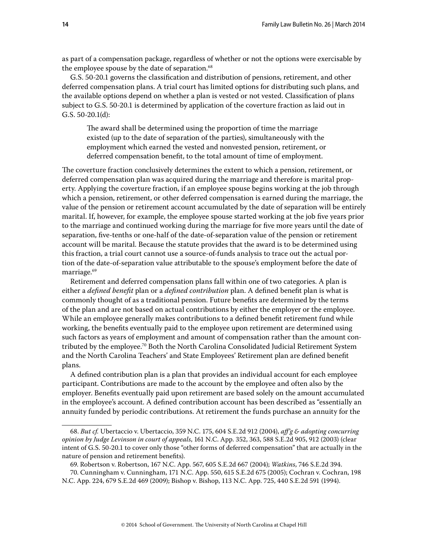as part of a compensation package, regardless of whether or not the options were exercisable by the employee spouse by the date of separation.<sup>68</sup>

G.S. 50-20.1 governs the classification and distribution of pensions, retirement, and other deferred compensation plans. A trial court has limited options for distributing such plans, and the available options depend on whether a plan is vested or not vested. Classification of plans subject to G.S. 50-20.1 is determined by application of the coverture fraction as laid out in G.S. 50-20.1(d):

The award shall be determined using the proportion of time the marriage existed (up to the date of separation of the parties), simultaneously with the employment which earned the vested and nonvested pension, retirement, or deferred compensation benefit, to the total amount of time of employment.

The coverture fraction conclusively determines the extent to which a pension, retirement, or deferred compensation plan was acquired during the marriage and therefore is marital property. Applying the coverture fraction, if an employee spouse begins working at the job through which a pension, retirement, or other deferred compensation is earned during the marriage, the value of the pension or retirement account accumulated by the date of separation will be entirely marital. If, however, for example, the employee spouse started working at the job five years prior to the marriage and continued working during the marriage for five more years until the date of separation, five-tenths or one-half of the date-of-separation value of the pension or retirement account will be marital. Because the statute provides that the award is to be determined using this fraction, a trial court cannot use a source-of-funds analysis to trace out the actual portion of the date-of-separation value attributable to the spouse's employment before the date of marriage.<sup>69</sup>

Retirement and deferred compensation plans fall within one of two categories. A plan is either a *defined benefit* plan or a *defined contribution* plan. A defined benefit plan is what is commonly thought of as a traditional pension. Future benefits are determined by the terms of the plan and are not based on actual contributions by either the employer or the employee. While an employee generally makes contributions to a defined benefit retirement fund while working, the benefits eventually paid to the employee upon retirement are determined using such factors as years of employment and amount of compensation rather than the amount contributed by the employee.70 Both the North Carolina Consolidated Judicial Retirement System and the North Carolina Teachers' and State Employees' Retirement plan are defined benefit plans.

A defined contribution plan is a plan that provides an individual account for each employee participant. Contributions are made to the account by the employee and often also by the employer. Benefits eventually paid upon retirement are based solely on the amount accumulated in the employee's account. A defined contribution account has been described as "essentially an annuity funded by periodic contributions. At retirement the funds purchase an annuity for the

<sup>68.</sup> *But cf.* Ubertaccio v. Ubertaccio, 359 N.C. 175, 604 S.E.2d 912 (2004), *aff'g & adopting concurring opinion by Judge Levinson in court of appeals*, 161 N.C. App. 352, 363, 588 S.E.2d 905, 912 (2003) (clear intent of G.S. 50-20.1 to cover only those "other forms of deferred compensation" that are actually in the nature of pension and retirement benefits).

<sup>69.</sup> Robertson v. Robertson, 167 N.C. App. 567, 605 S.E.2d 667 (2004); *Watkins*, 746 S.E.2d 394.

<sup>70.</sup> Cunningham v. Cunningham, 171 N.C. App. 550, 615 S.E.2d 675 (2005); Cochran v. Cochran, 198 N.C. App. 224, 679 S.E.2d 469 (2009); Bishop v. Bishop, 113 N.C. App. 725, 440 S.E.2d 591 (1994).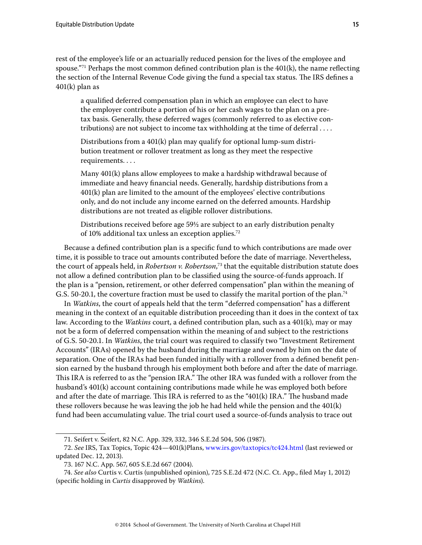rest of the employee's life or an actuarially reduced pension for the lives of the employee and spouse."<sup>71</sup> Perhaps the most common defined contribution plan is the  $401(k)$ , the name reflecting the section of the Internal Revenue Code giving the fund a special tax status. The IRS defines a 401(k) plan as

a qualified deferred compensation plan in which an employee can elect to have the employer contribute a portion of his or her cash wages to the plan on a pretax basis. Generally, these deferred wages (commonly referred to as elective contributions) are not subject to income tax withholding at the time of deferral . . . .

Distributions from a 401(k) plan may qualify for optional lump-sum distribution treatment or rollover treatment as long as they meet the respective requirements. . . .

Many 401(k) plans allow employees to make a hardship withdrawal because of immediate and heavy financial needs. Generally, hardship distributions from a 401(k) plan are limited to the amount of the employees' elective contributions only, and do not include any income earned on the deferred amounts. Hardship distributions are not treated as eligible rollover distributions.

Distributions received before age 59½ are subject to an early distribution penalty of 10% additional tax unless an exception applies.72

Because a defined contribution plan is a specific fund to which contributions are made over time, it is possible to trace out amounts contributed before the date of marriage. Nevertheless, the court of appeals held, in *Robertson v. Robertson*, 73 that the equitable distribution statute does not allow a defined contribution plan to be classified using the source-of-funds approach. If the plan is a "pension, retirement, or other deferred compensation" plan within the meaning of G.S. 50-20.1, the coverture fraction must be used to classify the marital portion of the plan.<sup>74</sup>

In *Watkins*, the court of appeals held that the term "deferred compensation" has a different meaning in the context of an equitable distribution proceeding than it does in the context of tax law. According to the *Watkins* court, a defined contribution plan, such as a 401(k), may or may not be a form of deferred compensation within the meaning of and subject to the restrictions of G.S. 50-20.1. In *Watkins*, the trial court was required to classify two "Investment Retirement Accounts" (IRAs) opened by the husband during the marriage and owned by him on the date of separation. One of the IRAs had been funded initially with a rollover from a defined benefit pension earned by the husband through his employment both before and after the date of marriage. This IRA is referred to as the "pension IRA." The other IRA was funded with a rollover from the husband's 401(k) account containing contributions made while he was employed both before and after the date of marriage. This IRA is referred to as the "401(k) IRA." The husband made these rollovers because he was leaving the job he had held while the pension and the 401(k) fund had been accumulating value. The trial court used a source-of-funds analysis to trace out

<sup>71.</sup> Seifert v. Seifert, 82 N.C. App. 329, 332, 346 S.E.2d 504, 506 (1987).

<sup>72.</sup> *See* IRS, Tax Topics, Topic 424—401(k)Plans,<www.irs.gov/taxtopics/tc424.html> (last reviewed or updated Dec. 12, 2013).

<sup>73. 167</sup> N.C. App. 567, 605 S.E.2d 667 (2004).

<sup>74.</sup> *See also* Curtis v. Curtis (unpublished opinion), 725 S.E.2d 472 (N.C. Ct. App., filed May 1, 2012) (specific holding in *Curtis* disapproved by *Watkins*).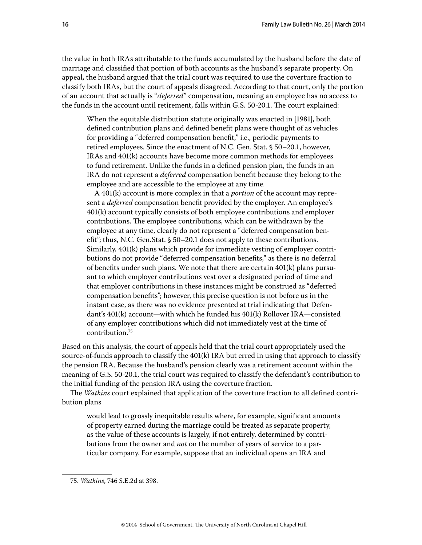the value in both IRAs attributable to the funds accumulated by the husband before the date of marriage and classified that portion of both accounts as the husband's separate property. On appeal, the husband argued that the trial court was required to use the coverture fraction to classify both IRAs, but the court of appeals disagreed. According to that court, only the portion of an account that actually is "*deferred*" compensation, meaning an employee has no access to the funds in the account until retirement, falls within G.S. 50-20.1. The court explained:

When the equitable distribution statute originally was enacted in [1981], both defined contribution plans and defined benefit plans were thought of as vehicles for providing a "deferred compensation benefit," i.e., periodic payments to retired employees. Since the enactment of N.C. Gen. Stat. § 50–20.1, however, IRAs and 401(k) accounts have become more common methods for employees to fund retirement. Unlike the funds in a defined pension plan, the funds in an IRA do not represent a *deferred* compensation benefit because they belong to the employee and are accessible to the employee at any time.

A 401(k) account is more complex in that a *portion* of the account may represent a *deferred* compensation benefit provided by the employer. An employee's 401(k) account typically consists of both employee contributions and employer contributions. The employee contributions, which can be withdrawn by the employee at any time, clearly do not represent a "deferred compensation benefit"; thus, N.C. Gen.Stat. § 50–20.1 does not apply to these contributions. Similarly, 401(k) plans which provide for immediate vesting of employer contributions do not provide "deferred compensation benefits," as there is no deferral of benefits under such plans. We note that there are certain 401(k) plans pursuant to which employer contributions vest over a designated period of time and that employer contributions in these instances might be construed as "deferred compensation benefits"; however, this precise question is not before us in the instant case, as there was no evidence presented at trial indicating that Defendant's 401(k) account—with which he funded his 401(k) Rollover IRA—consisted of any employer contributions which did not immediately vest at the time of contribution.75

Based on this analysis, the court of appeals held that the trial court appropriately used the source-of-funds approach to classify the 401(k) IRA but erred in using that approach to classify the pension IRA. Because the husband's pension clearly was a retirement account within the meaning of G.S. 50-20.1, the trial court was required to classify the defendant's contribution to the initial funding of the pension IRA using the coverture fraction.

The *Watkins* court explained that application of the coverture fraction to all defined contribution plans

would lead to grossly inequitable results where, for example, significant amounts of property earned during the marriage could be treated as separate property, as the value of these accounts is largely, if not entirely, determined by contributions from the owner and *not* on the number of years of service to a particular company. For example, suppose that an individual opens an IRA and

<sup>75.</sup> *Watkins*, 746 S.E.2d at 398.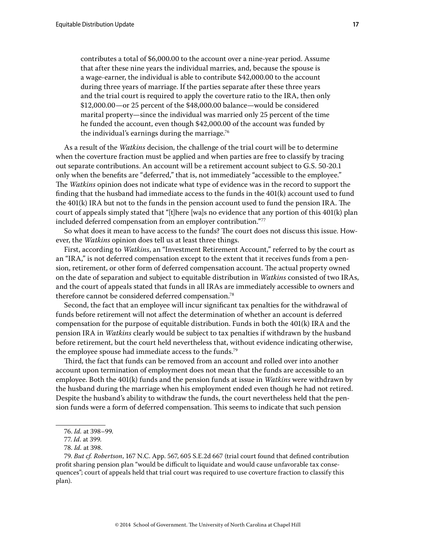contributes a total of \$6,000.00 to the account over a nine-year period. Assume that after these nine years the individual marries, and, because the spouse is a wage-earner, the individual is able to contribute \$42,000.00 to the account during three years of marriage. If the parties separate after these three years and the trial court is required to apply the coverture ratio to the IRA, then only \$12,000.00—or 25 percent of the \$48,000.00 balance—would be considered marital property—since the individual was married only 25 percent of the time he funded the account, even though \$42,000.00 of the account was funded by the individual's earnings during the marriage.<sup>76</sup>

As a result of the *Watkins* decision, the challenge of the trial court will be to determine when the coverture fraction must be applied and when parties are free to classify by tracing out separate contributions. An account will be a retirement account subject to G.S. 50-20.1 only when the benefits are "deferred," that is, not immediately "accessible to the employee." The *Watkins* opinion does not indicate what type of evidence was in the record to support the finding that the husband had immediate access to the funds in the 401(k) account used to fund the 401(k) IRA but not to the funds in the pension account used to fund the pension IRA. The court of appeals simply stated that "[t]here [wa]s no evidence that any portion of this 401(k) plan included deferred compensation from an employer contribution."<sup>77</sup>

So what does it mean to have access to the funds? The court does not discuss this issue. However, the *Watkins* opinion does tell us at least three things.

First, according to *Watkins*, an "Investment Retirement Account," referred to by the court as an "IRA," is not deferred compensation except to the extent that it receives funds from a pension, retirement, or other form of deferred compensation account. The actual property owned on the date of separation and subject to equitable distribution in *Watkins* consisted of two IRAs, and the court of appeals stated that funds in all IRAs are immediately accessible to owners and therefore cannot be considered deferred compensation.78

Second, the fact that an employee will incur significant tax penalties for the withdrawal of funds before retirement will not affect the determination of whether an account is deferred compensation for the purpose of equitable distribution. Funds in both the 401(k) IRA and the pension IRA in *Watkins* clearly would be subject to tax penalties if withdrawn by the husband before retirement, but the court held nevertheless that, without evidence indicating otherwise, the employee spouse had immediate access to the funds.<sup>79</sup>

Third, the fact that funds can be removed from an account and rolled over into another account upon termination of employment does not mean that the funds are accessible to an employee. Both the 401(k) funds and the pension funds at issue in *Watkins* were withdrawn by the husband during the marriage when his employment ended even though he had not retired. Despite the husband's ability to withdraw the funds, the court nevertheless held that the pension funds were a form of deferred compensation. This seems to indicate that such pension

<sup>76.</sup> *Id.* at 398–99.

<sup>77.</sup> *Id*. at 399.

<sup>78.</sup> *Id.* at 398.

<sup>79.</sup> *But cf. Robertson*, 167 N.C. App. 567, 605 S.E.2d 667 (trial court found that defined contribution profit sharing pension plan "would be difficult to liquidate and would cause unfavorable tax consequences"; court of appeals held that trial court was required to use coverture fraction to classify this plan).